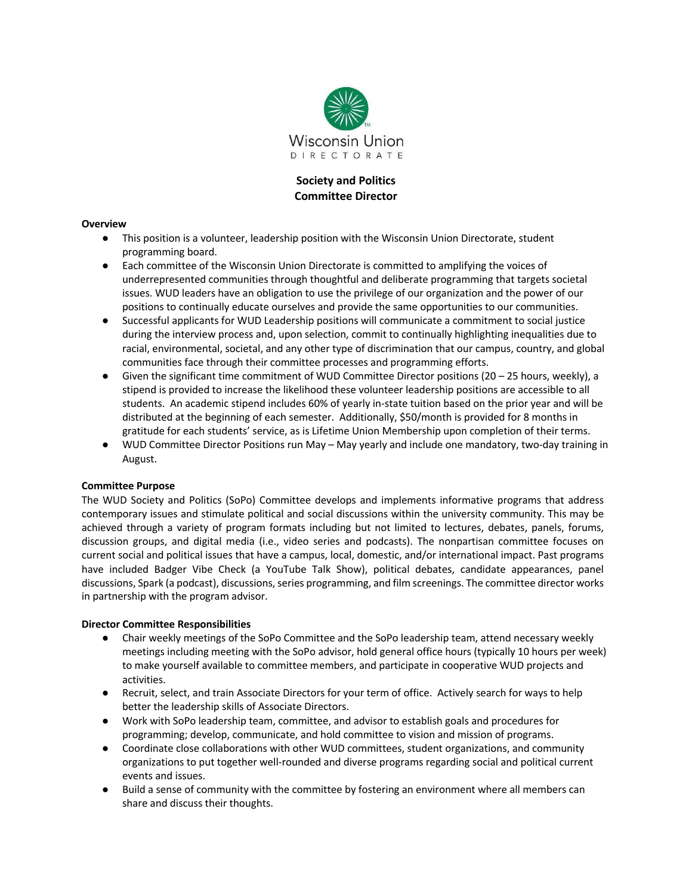

# **Society and Politics Committee Director**

#### **Overview**

- This position is a volunteer, leadership position with the Wisconsin Union Directorate, student programming board.
- Each committee of the Wisconsin Union Directorate is committed to amplifying the voices of underrepresented communities through thoughtful and deliberate programming that targets societal issues. WUD leaders have an obligation to use the privilege of our organization and the power of our positions to continually educate ourselves and provide the same opportunities to our communities.
- Successful applicants for WUD Leadership positions will communicate a commitment to social justice during the interview process and, upon selection, commit to continually highlighting inequalities due to racial, environmental, societal, and any other type of discrimination that our campus, country, and global communities face through their committee processes and programming efforts.
- Given the significant time commitment of WUD Committee Director positions (20 25 hours, weekly), a stipend is provided to increase the likelihood these volunteer leadership positions are accessible to all students. An academic stipend includes 60% of yearly in-state tuition based on the prior year and will be distributed at the beginning of each semester. Additionally, \$50/month is provided for 8 months in gratitude for each students' service, as is Lifetime Union Membership upon completion of their terms.
- WUD Committee Director Positions run May May yearly and include one mandatory, two-day training in August.

### **Committee Purpose**

The WUD Society and Politics (SoPo) Committee develops and implements informative programs that address contemporary issues and stimulate political and social discussions within the university community. This may be achieved through a variety of program formats including but not limited to lectures, debates, panels, forums, discussion groups, and digital media (i.e., video series and podcasts). The nonpartisan committee focuses on current social and political issues that have a campus, local, domestic, and/or international impact. Past programs have included Badger Vibe Check (a YouTube Talk Show), political debates, candidate appearances, panel discussions, Spark (a podcast), discussions, series programming, and film screenings. The committee director works in partnership with the program advisor.

#### **Director Committee Responsibilities**

- Chair weekly meetings of the SoPo Committee and the SoPo leadership team, attend necessary weekly meetings including meeting with the SoPo advisor, hold general office hours (typically 10 hours per week) to make yourself available to committee members, and participate in cooperative WUD projects and activities.
- Recruit, select, and train Associate Directors for your term of office. Actively search for ways to help better the leadership skills of Associate Directors.
- Work with SoPo leadership team, committee, and advisor to establish goals and procedures for programming; develop, communicate, and hold committee to vision and mission of programs.
- Coordinate close collaborations with other WUD committees, student organizations, and community organizations to put together well-rounded and diverse programs regarding social and political current events and issues.
- Build a sense of community with the committee by fostering an environment where all members can share and discuss their thoughts.